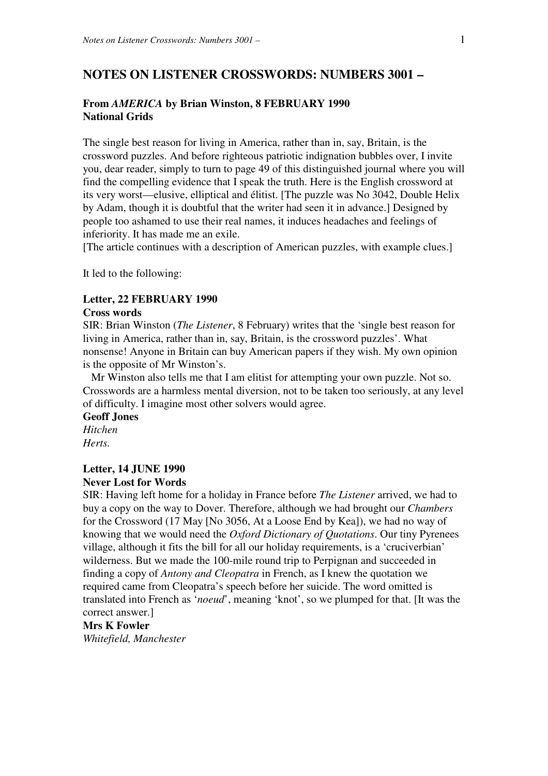# **NOTES ON LISTENER CROSSWORDS: NUMBERS 3001 –**

## **From** *AMERICA* **by Brian Winston, 8 FEBRUARY 1990 National Grids**

The single best reason for living in America, rather than in, say, Britain, is the crossword puzzles. And before righteous patriotic indignation bubbles over, I invite you, dear reader, simply to turn to page 49 of this distinguished journal where you will find the compelling evidence that I speak the truth. Here is the English crossword at its very worst—elusive, elliptical and élitist. [The puzzle was No 3042, Double Helix by Adam, though it is doubtful that the writer had seen it in advance.] Designed by people too ashamed to use their real names, it induces headaches and feelings of inferiority. It has made me an exile.

[The article continues with a description of American puzzles, with example clues.]

It led to the following:

### **Letter, 22 FEBRUARY 1990**

### **Cross words**

SIR: Brian Winston (*The Listener*, 8 February) writes that the 'single best reason for living in America, rather than in, say, Britain, is the crossword puzzles'. What nonsense! Anyone in Britain can buy American papers if they wish. My own opinion is the opposite of Mr Winston's.

 Mr Winston also tells me that I am elitist for attempting your own puzzle. Not so. Crosswords are a harmless mental diversion, not to be taken too seriously, at any level of difficulty. I imagine most other solvers would agree.

#### **Geoff Jones**

*Hitchen Herts.*

## **Letter, 14 JUNE 1990**

## **Never Lost for Words**

SIR: Having left home for a holiday in France before *The Listener* arrived, we had to buy a copy on the way to Dover. Therefore, although we had brought our *Chambers*  for the Crossword (17 May [No 3056, At a Loose End by Kea]), we had no way of knowing that we would need the *Oxford Dictionary of Quotations*. Our tiny Pyrenees village, although it fits the bill for all our holiday requirements, is a 'cruciverbian' wilderness. But we made the 100-mile round trip to Perpignan and succeeded in finding a copy of *Antony and Cleopatra* in French, as I knew the quotation we required came from Cleopatra's speech before her suicide. The word omitted is translated into French as '*noeud*', meaning 'knot', so we plumped for that. [It was the correct answer.]

#### **Mrs K Fowler**

*Whitefield, Manchester*